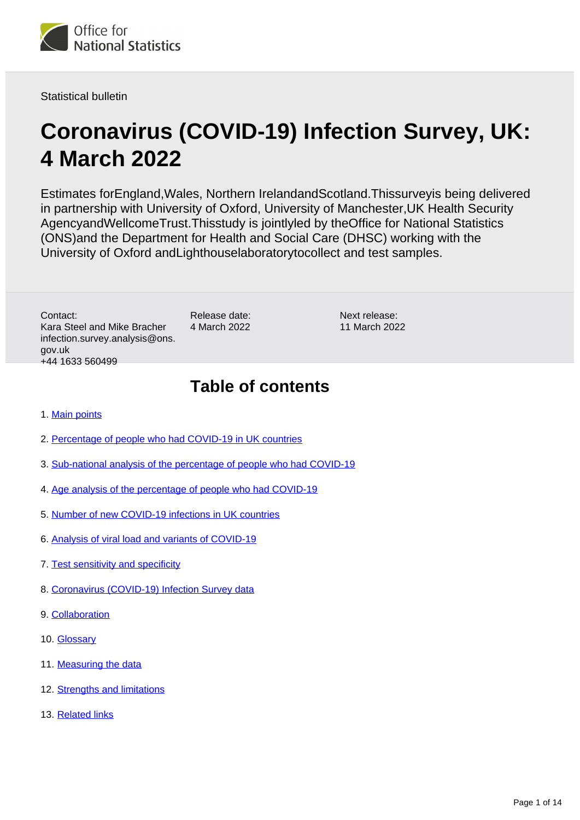

Statistical bulletin

# **Coronavirus (COVID-19) Infection Survey, UK: 4 March 2022**

Estimates forEngland,Wales, Northern IrelandandScotland.Thissurveyis being delivered in partnership with University of Oxford, University of Manchester,UK Health Security AgencyandWellcomeTrust.Thisstudy is jointlyled by theOffice for National Statistics (ONS)and the Department for Health and Social Care (DHSC) working with the University of Oxford andLighthouselaboratorytocollect and test samples.

Contact: Kara Steel and Mike Bracher infection.survey.analysis@ons. gov.uk +44 1633 560499

Release date: 4 March 2022 Next release: 11 March 2022

# **Table of contents**

- 1. [Main points](#page-1-0)
- 2. [Percentage of people who had COVID-19 in UK countries](#page-3-0)
- 3. [Sub-national analysis of the percentage of people who had COVID-19](#page-5-0)
- 4. [Age analysis of the percentage of people who had COVID-19](#page-5-1)
- 5. [Number of new COVID-19 infections in UK countries](#page-7-0)
- 6. [Analysis of viral load and variants of COVID-19](#page-8-0)
- 7. [Test sensitivity and specificity](#page-10-0)
- 8. [Coronavirus \(COVID-19\) Infection Survey data](#page-10-1)
- 9. [Collaboration](#page-11-0)
- 10. [Glossary](#page-11-1)
- 11. [Measuring the data](#page-12-0)
- 12. [Strengths and limitations](#page-13-0)
- 13. [Related links](#page-13-1)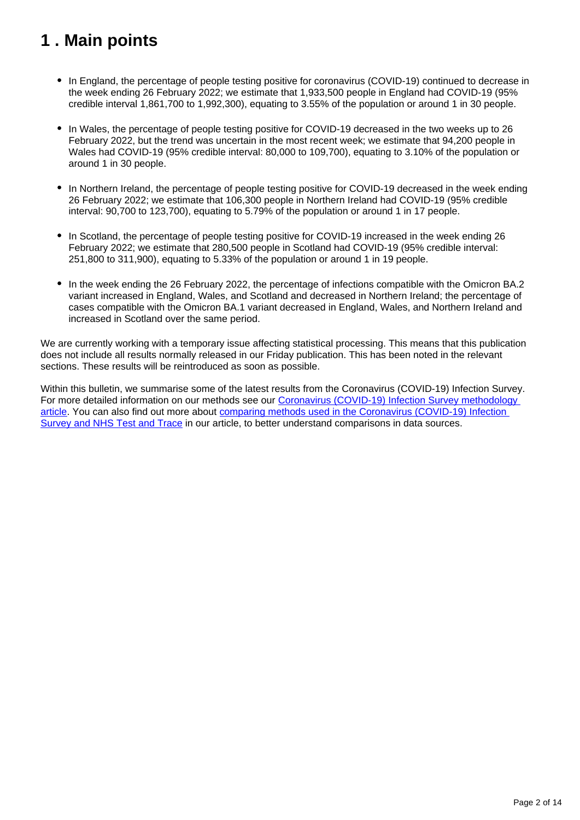# <span id="page-1-0"></span>**1 . Main points**

- In England, the percentage of people testing positive for coronavirus (COVID-19) continued to decrease in the week ending 26 February 2022; we estimate that 1,933,500 people in England had COVID-19 (95% credible interval 1,861,700 to 1,992,300), equating to 3.55% of the population or around 1 in 30 people.
- In Wales, the percentage of people testing positive for COVID-19 decreased in the two weeks up to 26 February 2022, but the trend was uncertain in the most recent week; we estimate that 94,200 people in Wales had COVID-19 (95% credible interval: 80,000 to 109,700), equating to 3.10% of the population or around 1 in 30 people.
- In Northern Ireland, the percentage of people testing positive for COVID-19 decreased in the week ending 26 February 2022; we estimate that 106,300 people in Northern Ireland had COVID-19 (95% credible interval: 90,700 to 123,700), equating to 5.79% of the population or around 1 in 17 people.
- In Scotland, the percentage of people testing positive for COVID-19 increased in the week ending 26 February 2022; we estimate that 280,500 people in Scotland had COVID-19 (95% credible interval: 251,800 to 311,900), equating to 5.33% of the population or around 1 in 19 people.
- In the week ending the 26 February 2022, the percentage of infections compatible with the Omicron BA.2 variant increased in England, Wales, and Scotland and decreased in Northern Ireland; the percentage of cases compatible with the Omicron BA.1 variant decreased in England, Wales, and Northern Ireland and increased in Scotland over the same period.

We are currently working with a temporary issue affecting statistical processing. This means that this publication does not include all results normally released in our Friday publication. This has been noted in the relevant sections. These results will be reintroduced as soon as possible.

Within this bulletin, we summarise some of the latest results from the Coronavirus (COVID-19) Infection Survey. For more detailed information on our methods see our Coronavirus (COVID-19) Infection Survey methodology [article.](https://www.ons.gov.uk/peoplepopulationandcommunity/healthandsocialcare/conditionsanddiseases/methodologies/covid19infectionsurveypilotmethodsandfurtherinformation) You can also find out more about [comparing methods used in the Coronavirus \(COVID-19\) Infection](https://www.ons.gov.uk/peoplepopulationandcommunity/healthandsocialcare/conditionsanddiseases/articles/comparingmethodsusedinthecoronaviruscovid19infectionsurveyandnhstestandtraceengland/october2020)  [Survey and NHS Test and Trace](https://www.ons.gov.uk/peoplepopulationandcommunity/healthandsocialcare/conditionsanddiseases/articles/comparingmethodsusedinthecoronaviruscovid19infectionsurveyandnhstestandtraceengland/october2020) in our article, to better understand comparisons in data sources.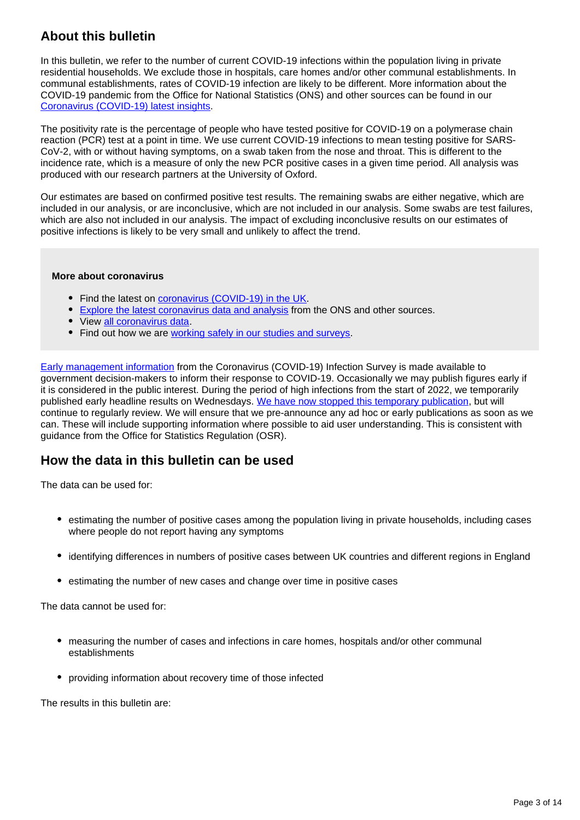## **About this bulletin**

In this bulletin, we refer to the number of current COVID-19 infections within the population living in private residential households. We exclude those in hospitals, care homes and/or other communal establishments. In communal establishments, rates of COVID-19 infection are likely to be different. More information about the COVID-19 pandemic from the Office for National Statistics (ONS) and other sources can be found in our [Coronavirus \(COVID-19\) latest insights](https://www.ons.gov.uk/peoplepopulationandcommunity/healthandsocialcare/conditionsanddiseases/articles/coronaviruscovid19latestinsights/infections).

The positivity rate is the percentage of people who have tested positive for COVID-19 on a polymerase chain reaction (PCR) test at a point in time. We use current COVID-19 infections to mean testing positive for SARS-CoV-2, with or without having symptoms, on a swab taken from the nose and throat. This is different to the incidence rate, which is a measure of only the new PCR positive cases in a given time period. All analysis was produced with our research partners at the University of Oxford.

Our estimates are based on confirmed positive test results. The remaining swabs are either negative, which are included in our analysis, or are inconclusive, which are not included in our analysis. Some swabs are test failures, which are also not included in our analysis. The impact of excluding inconclusive results on our estimates of positive infections is likely to be very small and unlikely to affect the trend.

#### **More about coronavirus**

- Find the latest on [coronavirus \(COVID-19\) in the UK.](https://www.ons.gov.uk/peoplepopulationandcommunity/healthandsocialcare/conditionsanddiseases)
- **[Explore the latest coronavirus data and analysis](https://www.ons.gov.uk/peoplepopulationandcommunity/healthandsocialcare/conditionsanddiseases/articles/coronaviruscovid19/latestinsights) from the ONS and other sources.**
- View [all coronavirus data](https://www.ons.gov.uk/peoplepopulationandcommunity/healthandsocialcare/conditionsanddiseases/datalist).
- Find out how we are [working safely in our studies and surveys.](https://www.ons.gov.uk/news/statementsandletters/ensuringyoursafetyduringcovid19)

[Early management information](https://www.ons.gov.uk/news/statementsandletters/provisionofearlymanagementinformationbytheonstoinformoperationaldecisionmakingforthepublicgoodduringthecoronaviruspandemic) from the Coronavirus (COVID-19) Infection Survey is made available to government decision-makers to inform their response to COVID-19. Occasionally we may publish figures early if it is considered in the public interest. During the period of high infections from the start of 2022, we temporarily published early headline results on Wednesdays. [We have now stopped this temporary publication](https://www.ons.gov.uk/news/statementsandletters/publicationofresultsfromthecoronaviruscovid19infectionsurvey), but will continue to regularly review. We will ensure that we pre-announce any ad hoc or early publications as soon as we can. These will include supporting information where possible to aid user understanding. This is consistent with guidance from the Office for Statistics Regulation (OSR).

## **How the data in this bulletin can be used**

The data can be used for:

- estimating the number of positive cases among the population living in private households, including cases where people do not report having any symptoms
- identifying differences in numbers of positive cases between UK countries and different regions in England
- estimating the number of new cases and change over time in positive cases

The data cannot be used for:

- measuring the number of cases and infections in care homes, hospitals and/or other communal establishments
- providing information about recovery time of those infected

The results in this bulletin are: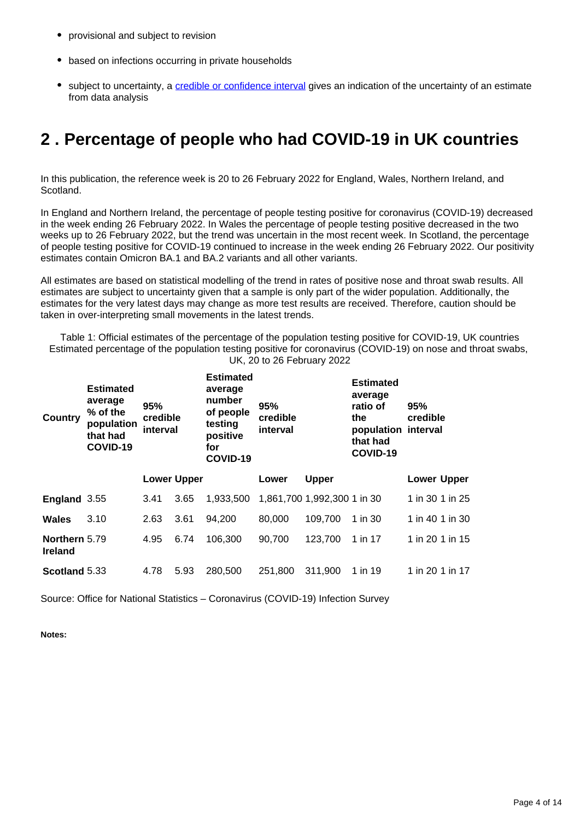- provisional and subject to revision
- based on infections occurring in private households
- subject to uncertainty, a [credible or confidence interval](https://www.ons.gov.uk/peoplepopulationandcommunity/healthandsocialcare/conditionsanddiseases/bulletins/coronaviruscovid19infectionsurveypilot/25february2022#glossary) gives an indication of the uncertainty of an estimate from data analysis

# <span id="page-3-0"></span>**2 . Percentage of people who had COVID-19 in UK countries**

In this publication, the reference week is 20 to 26 February 2022 for England, Wales, Northern Ireland, and Scotland.

In England and Northern Ireland, the percentage of people testing positive for coronavirus (COVID-19) decreased in the week ending 26 February 2022. In Wales the percentage of people testing positive decreased in the two weeks up to 26 February 2022, but the trend was uncertain in the most recent week. In Scotland, the percentage of people testing positive for COVID-19 continued to increase in the week ending 26 February 2022. Our positivity estimates contain Omicron BA.1 and BA.2 variants and all other variants.

All estimates are based on statistical modelling of the trend in rates of positive nose and throat swab results. All estimates are subject to uncertainty given that a sample is only part of the wider population. Additionally, the estimates for the very latest days may change as more test results are received. Therefore, caution should be taken in over-interpreting small movements in the latest trends.

Table 1: Official estimates of the percentage of the population testing positive for COVID-19, UK countries Estimated percentage of the population testing positive for coronavirus (COVID-19) on nose and throat swabs, UK, 20 to 26 February 2022

| Country                         | <b>Estimated</b><br>average<br>% of the<br>population<br>that had<br>COVID-19 | 95%<br>credible<br>interval |                    | <b>Estimated</b><br>average<br>number<br>of people<br>testing<br>positive<br>for<br>COVID-19 | 95%<br>credible<br>interval |                             | <b>Estimated</b><br>average<br>ratio of<br>the<br>population interval<br>that had<br>COVID-19 | 95%<br>credible    |
|---------------------------------|-------------------------------------------------------------------------------|-----------------------------|--------------------|----------------------------------------------------------------------------------------------|-----------------------------|-----------------------------|-----------------------------------------------------------------------------------------------|--------------------|
|                                 |                                                                               |                             | <b>Lower Upper</b> |                                                                                              | Lower                       | <b>Upper</b>                |                                                                                               | <b>Lower Upper</b> |
| England 3.55                    |                                                                               | 3.41                        | 3.65               | 1,933,500                                                                                    |                             | 1,861,700 1,992,300 1 in 30 |                                                                                               | 1 in 30 1 in 25    |
| Wales                           | 3.10                                                                          | 2.63                        | 3.61               | 94.200                                                                                       | 80,000                      | 109,700                     | 1 in 30                                                                                       | 1 in 40 1 in 30    |
| Northern 5.79<br><b>Ireland</b> |                                                                               | 4.95                        | 6.74               | 106,300                                                                                      | 90,700                      | 123,700                     | 1 in 17                                                                                       | 1 in 20 1 in 15    |
| Scotland 5.33                   |                                                                               | 4.78                        | 5.93               | 280,500                                                                                      | 251.800                     | 311,900                     | 1 in 19                                                                                       | 1 in 20 1 in 17    |

Source: Office for National Statistics – Coronavirus (COVID-19) Infection Survey

**Notes:**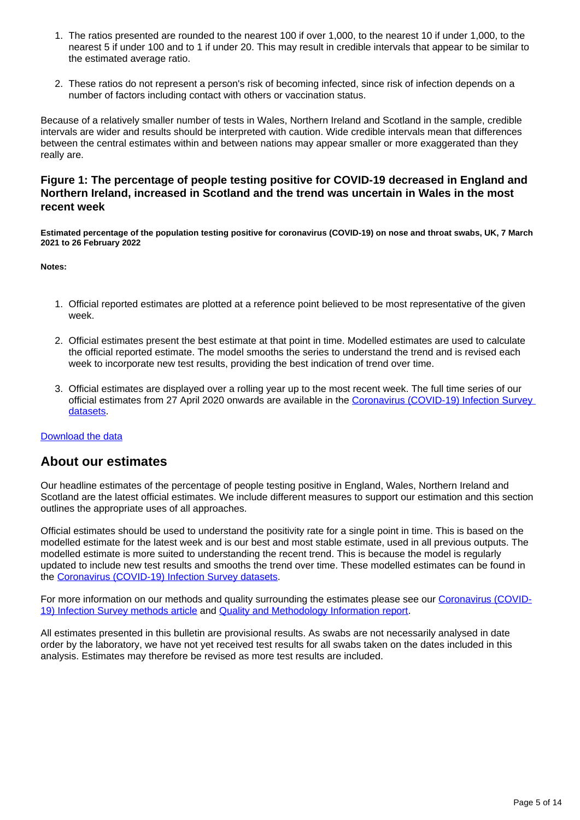- 1. The ratios presented are rounded to the nearest 100 if over 1,000, to the nearest 10 if under 1,000, to the nearest 5 if under 100 and to 1 if under 20. This may result in credible intervals that appear to be similar to the estimated average ratio.
- 2. These ratios do not represent a person's risk of becoming infected, since risk of infection depends on a number of factors including contact with others or vaccination status.

Because of a relatively smaller number of tests in Wales, Northern Ireland and Scotland in the sample, credible intervals are wider and results should be interpreted with caution. Wide credible intervals mean that differences between the central estimates within and between nations may appear smaller or more exaggerated than they really are.

#### **Figure 1: The percentage of people testing positive for COVID-19 decreased in England and Northern Ireland, increased in Scotland and the trend was uncertain in Wales in the most recent week**

**Estimated percentage of the population testing positive for coronavirus (COVID-19) on nose and throat swabs, UK, 7 March 2021 to 26 February 2022**

#### **Notes:**

- 1. Official reported estimates are plotted at a reference point believed to be most representative of the given week.
- 2. Official estimates present the best estimate at that point in time. Modelled estimates are used to calculate the official reported estimate. The model smooths the series to understand the trend and is revised each week to incorporate new test results, providing the best indication of trend over time.
- 3. Official estimates are displayed over a rolling year up to the most recent week. The full time series of our official estimates from 27 April 2020 onwards are available in the [Coronavirus \(COVID-19\) Infection Survey](https://www.ons.gov.uk/peoplepopulationandcommunity/healthandsocialcare/conditionsanddiseases/bulletins/coronaviruscovid19infectionsurveypilot/4march2022/relateddata)  [datasets.](https://www.ons.gov.uk/peoplepopulationandcommunity/healthandsocialcare/conditionsanddiseases/bulletins/coronaviruscovid19infectionsurveypilot/4march2022/relateddata)

#### [Download the data](https://www.ons.gov.uk/visualisations/dvc1849/officialestimates/datadownload.xlsx)

#### **About our estimates**

Our headline estimates of the percentage of people testing positive in England, Wales, Northern Ireland and Scotland are the latest official estimates. We include different measures to support our estimation and this section outlines the appropriate uses of all approaches.

Official estimates should be used to understand the positivity rate for a single point in time. This is based on the modelled estimate for the latest week and is our best and most stable estimate, used in all previous outputs. The modelled estimate is more suited to understanding the recent trend. This is because the model is regularly updated to include new test results and smooths the trend over time. These modelled estimates can be found in the [Coronavirus \(COVID-19\) Infection Survey datasets](https://www.ons.gov.uk/peoplepopulationandcommunity/healthandsocialcare/conditionsanddiseases/bulletins/coronaviruscovid19infectionsurveypilot/4march2022/relateddata).

For more information on our methods and quality surrounding the estimates please see our [Coronavirus \(COVID-](https://www.ons.gov.uk/peoplepopulationandcommunity/healthandsocialcare/conditionsanddiseases/methodologies/covid19infectionsurveypilotmethodsandfurtherinformation)[19\) Infection Survey methods article](https://www.ons.gov.uk/peoplepopulationandcommunity/healthandsocialcare/conditionsanddiseases/methodologies/covid19infectionsurveypilotmethodsandfurtherinformation) and [Quality and Methodology Information report](https://www.ons.gov.uk/peoplepopulationandcommunity/healthandsocialcare/conditionsanddiseases/methodologies/coronaviruscovid19infectionsurveyqmi).

All estimates presented in this bulletin are provisional results. As swabs are not necessarily analysed in date order by the laboratory, we have not yet received test results for all swabs taken on the dates included in this analysis. Estimates may therefore be revised as more test results are included.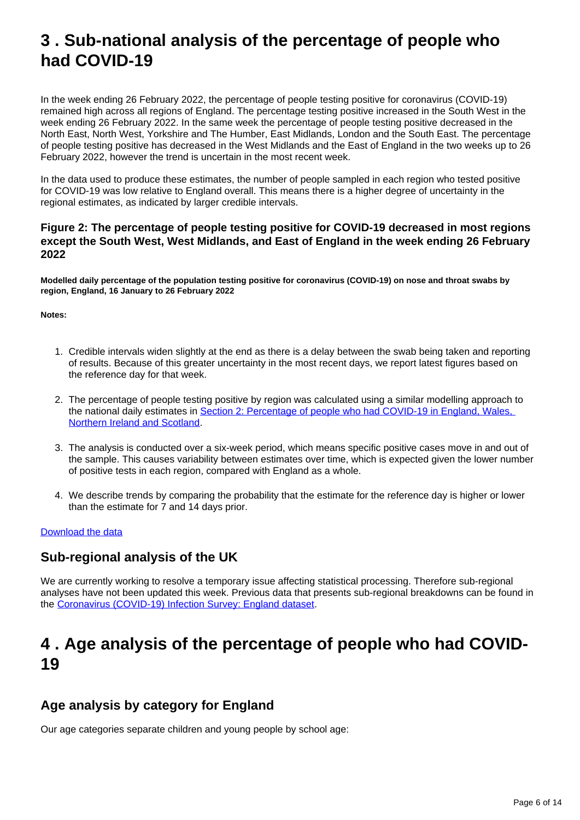# <span id="page-5-0"></span>**3 . Sub-national analysis of the percentage of people who had COVID-19**

In the week ending 26 February 2022, the percentage of people testing positive for coronavirus (COVID-19) remained high across all regions of England. The percentage testing positive increased in the South West in the week ending 26 February 2022. In the same week the percentage of people testing positive decreased in the North East, North West, Yorkshire and The Humber, East Midlands, London and the South East. The percentage of people testing positive has decreased in the West Midlands and the East of England in the two weeks up to 26 February 2022, however the trend is uncertain in the most recent week.

In the data used to produce these estimates, the number of people sampled in each region who tested positive for COVID-19 was low relative to England overall. This means there is a higher degree of uncertainty in the regional estimates, as indicated by larger credible intervals.

#### **Figure 2: The percentage of people testing positive for COVID-19 decreased in most regions except the South West, West Midlands, and East of England in the week ending 26 February 2022**

**Modelled daily percentage of the population testing positive for coronavirus (COVID-19) on nose and throat swabs by region, England, 16 January to 26 February 2022**

**Notes:**

- 1. Credible intervals widen slightly at the end as there is a delay between the swab being taken and reporting of results. Because of this greater uncertainty in the most recent days, we report latest figures based on the reference day for that week.
- 2. The percentage of people testing positive by region was calculated using a similar modelling approach to the national daily estimates in [Section 2: Percentage of people who had COVID-19 in England, Wales,](https://www.ons.gov.uk/peoplepopulationandcommunity/healthandsocialcare/conditionsanddiseases/bulletins/coronaviruscovid19infectionsurveypilot/4march2022#percentage-of-people-who-had-covid-19-in-uk-countries)  [Northern Ireland and Scotland](https://www.ons.gov.uk/peoplepopulationandcommunity/healthandsocialcare/conditionsanddiseases/bulletins/coronaviruscovid19infectionsurveypilot/4march2022#percentage-of-people-who-had-covid-19-in-uk-countries).
- 3. The analysis is conducted over a six-week period, which means specific positive cases move in and out of the sample. This causes variability between estimates over time, which is expected given the lower number of positive tests in each region, compared with England as a whole.
- 4. We describe trends by comparing the probability that the estimate for the reference day is higher or lower than the estimate for 7 and 14 days prior.

#### [Download the data](https://www.ons.gov.uk/visualisations/dvc1849/region/datadownload.xlsx)

## **Sub-regional analysis of the UK**

We are currently working to resolve a temporary issue affecting statistical processing. Therefore sub-regional analyses have not been updated this week. Previous data that presents sub-regional breakdowns can be found in the [Coronavirus \(COVID-19\) Infection Survey: England dataset.](http://www.ons.gov.uk/peoplepopulationandcommunity/healthandsocialcare/conditionsanddiseases/datasets/coronaviruscovid19infectionsurveydata)

## <span id="page-5-1"></span>**4 . Age analysis of the percentage of people who had COVID-19**

## **Age analysis by category for England**

Our age categories separate children and young people by school age: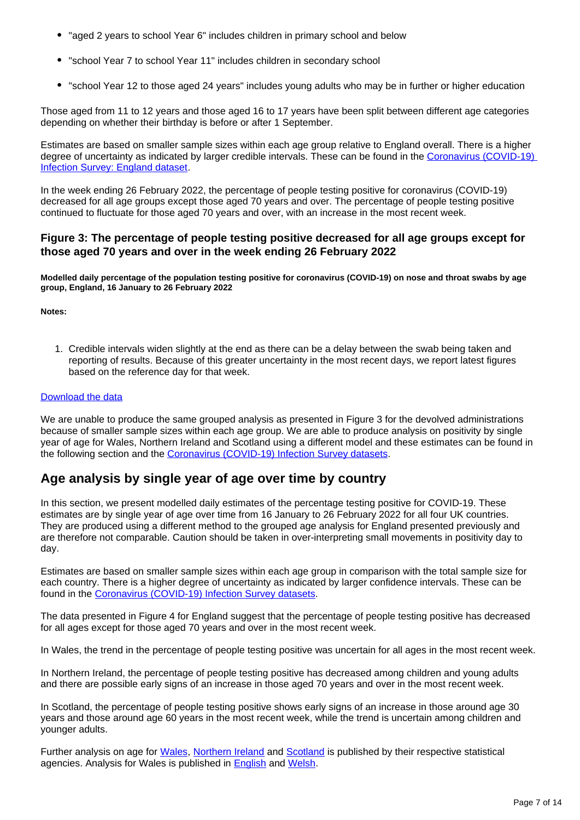- "aged 2 years to school Year 6" includes children in primary school and below
- "school Year 7 to school Year 11" includes children in secondary school
- "school Year 12 to those aged 24 years" includes young adults who may be in further or higher education

Those aged from 11 to 12 years and those aged 16 to 17 years have been split between different age categories depending on whether their birthday is before or after 1 September.

Estimates are based on smaller sample sizes within each age group relative to England overall. There is a higher degree of uncertainty as indicated by larger credible intervals. These can be found in the [Coronavirus \(COVID-19\)](http://www.ons.gov.uk/peoplepopulationandcommunity/healthandsocialcare/conditionsanddiseases/datasets/coronaviruscovid19infectionsurveydata)  [Infection Survey: England dataset.](http://www.ons.gov.uk/peoplepopulationandcommunity/healthandsocialcare/conditionsanddiseases/datasets/coronaviruscovid19infectionsurveydata)

In the week ending 26 February 2022, the percentage of people testing positive for coronavirus (COVID-19) decreased for all age groups except those aged 70 years and over. The percentage of people testing positive continued to fluctuate for those aged 70 years and over, with an increase in the most recent week.

#### **Figure 3: The percentage of people testing positive decreased for all age groups except for those aged 70 years and over in the week ending 26 February 2022**

**Modelled daily percentage of the population testing positive for coronavirus (COVID-19) on nose and throat swabs by age group, England, 16 January to 26 February 2022**

**Notes:**

1. Credible intervals widen slightly at the end as there can be a delay between the swab being taken and reporting of results. Because of this greater uncertainty in the most recent days, we report latest figures based on the reference day for that week.

#### [Download the data](https://www.ons.gov.uk/visualisations/dvc1849/age/datadownload.xlsx)

We are unable to produce the same grouped analysis as presented in Figure 3 for the devolved administrations because of smaller sample sizes within each age group. We are able to produce analysis on positivity by single year of age for Wales, Northern Ireland and Scotland using a different model and these estimates can be found in the following section and the [Coronavirus \(COVID-19\) Infection Survey datasets](https://www.ons.gov.uk/peoplepopulationandcommunity/healthandsocialcare/conditionsanddiseases/bulletins/coronaviruscovid19infectionsurveypilot/4march2022/relateddata).

## **Age analysis by single year of age over time by country**

In this section, we present modelled daily estimates of the percentage testing positive for COVID-19. These estimates are by single year of age over time from 16 January to 26 February 2022 for all four UK countries. They are produced using a different method to the grouped age analysis for England presented previously and are therefore not comparable. Caution should be taken in over-interpreting small movements in positivity day to day.

Estimates are based on smaller sample sizes within each age group in comparison with the total sample size for each country. There is a higher degree of uncertainty as indicated by larger confidence intervals. These can be found in the [Coronavirus \(COVID-19\) Infection Survey datasets.](https://www.ons.gov.uk/peoplepopulationandcommunity/healthandsocialcare/conditionsanddiseases/bulletins/coronaviruscovid19infectionsurveypilot/4march2022/relateddata)

The data presented in Figure 4 for England suggest that the percentage of people testing positive has decreased for all ages except for those aged 70 years and over in the most recent week.

In Wales, the trend in the percentage of people testing positive was uncertain for all ages in the most recent week.

In Northern Ireland, the percentage of people testing positive has decreased among children and young adults and there are possible early signs of an increase in those aged 70 years and over in the most recent week.

In Scotland, the percentage of people testing positive shows early signs of an increase in those around age 30 years and those around age 60 years in the most recent week, while the trend is uncertain among children and younger adults.

Further analysis on age for [Wales,](https://gov.wales/coronavirus-covid-19-infection-survey-positivity-estimates) [Northern Ireland](https://www.health-ni.gov.uk/articles/covid-19-infection-survey) and [Scotland](https://www.gov.scot/collections/coronavirus-covid-19-infection-survey/) is published by their respective statistical agencies. Analysis for Wales is published in [English](https://gov.wales/coronavirus-covid-19-infection-survey-positivity-estimates) and [Welsh](https://llyw.cymru/arolwg-heintiadau-coronafeirws-covid-19-amcangyfrifon-positifedd).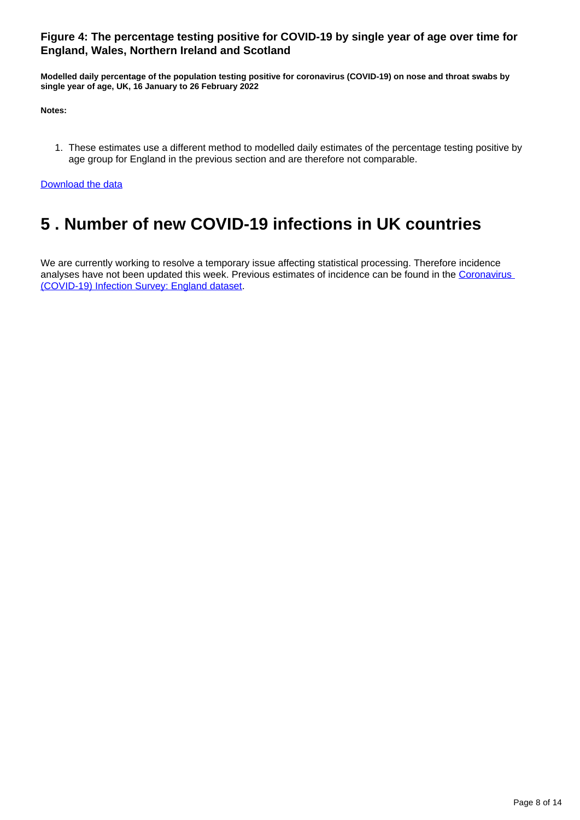#### **Figure 4: The percentage testing positive for COVID-19 by single year of age over time for England, Wales, Northern Ireland and Scotland**

**Modelled daily percentage of the population testing positive for coronavirus (COVID-19) on nose and throat swabs by single year of age, UK, 16 January to 26 February 2022**

**Notes:**

1. These estimates use a different method to modelled daily estimates of the percentage testing positive by age group for England in the previous section and are therefore not comparable.

[Download the data](https://www.ons.gov.uk/visualisations/dvc1849/syoa/datadownload.xlsx)

# <span id="page-7-0"></span>**5 . Number of new COVID-19 infections in UK countries**

We are currently working to resolve a temporary issue affecting statistical processing. Therefore incidence analyses have not been updated this week. Previous estimates of incidence can be found in the Coronavirus [\(COVID-19\) Infection Survey: England dataset.](http://www.ons.gov.uk/peoplepopulationandcommunity/healthandsocialcare/conditionsanddiseases/datasets/coronaviruscovid19infectionsurveydata)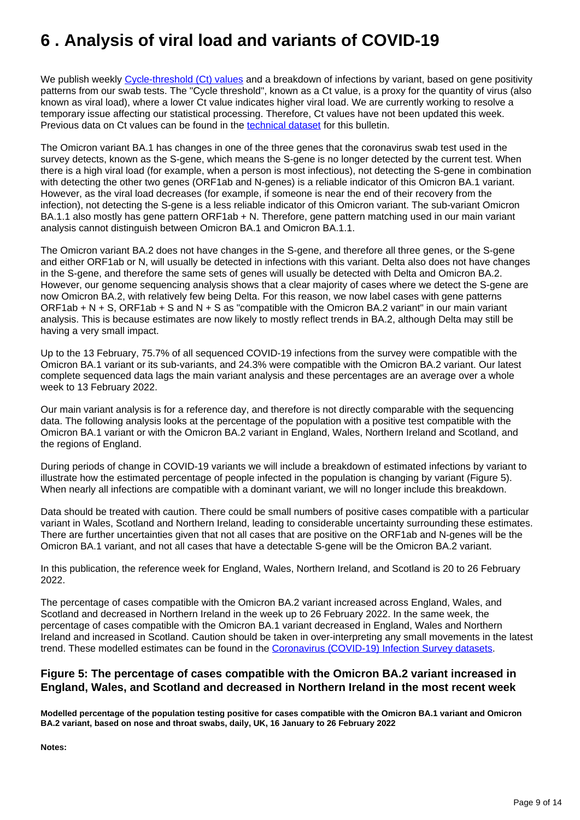# <span id="page-8-0"></span>**6 . Analysis of viral load and variants of COVID-19**

We publish weekly [Cycle-threshold \(Ct\) values](https://www.ons.gov.uk/peoplepopulationandcommunity/healthandsocialcare/conditionsanddiseases/bulletins/coronaviruscovid19infectionsurveypilot/4march2022/#glossary) and a breakdown of infections by variant, based on gene positivity patterns from our swab tests. The "Cycle threshold", known as a Ct value, is a proxy for the quantity of virus (also known as viral load), where a lower Ct value indicates higher viral load. We are currently working to resolve a temporary issue affecting our statistical processing. Therefore, Ct values have not been updated this week. Previous data on Ct values can be found in the [technical dataset](https://www.ons.gov.uk/peoplepopulationandcommunity/healthandsocialcare/conditionsanddiseases/datasets/covid19infectionsurveytechnicaldata) for this bulletin.

The Omicron variant BA.1 has changes in one of the three genes that the coronavirus swab test used in the survey detects, known as the S-gene, which means the S-gene is no longer detected by the current test. When there is a high viral load (for example, when a person is most infectious), not detecting the S-gene in combination with detecting the other two genes (ORF1ab and N-genes) is a reliable indicator of this Omicron BA.1 variant. However, as the viral load decreases (for example, if someone is near the end of their recovery from the infection), not detecting the S-gene is a less reliable indicator of this Omicron variant. The sub-variant Omicron BA.1.1 also mostly has gene pattern ORF1ab + N. Therefore, gene pattern matching used in our main variant analysis cannot distinguish between Omicron BA.1 and Omicron BA.1.1.

The Omicron variant BA.2 does not have changes in the S-gene, and therefore all three genes, or the S-gene and either ORF1ab or N, will usually be detected in infections with this variant. Delta also does not have changes in the S-gene, and therefore the same sets of genes will usually be detected with Delta and Omicron BA.2. However, our genome sequencing analysis shows that a clear majority of cases where we detect the S-gene are now Omicron BA.2, with relatively few being Delta. For this reason, we now label cases with gene patterns ORF1ab + N + S, ORF1ab + S and N + S as "compatible with the Omicron BA.2 variant" in our main variant analysis. This is because estimates are now likely to mostly reflect trends in BA.2, although Delta may still be having a very small impact.

Up to the 13 February, 75.7% of all sequenced COVID-19 infections from the survey were compatible with the Omicron BA.1 variant or its sub-variants, and 24.3% were compatible with the Omicron BA.2 variant. Our latest complete sequenced data lags the main variant analysis and these percentages are an average over a whole week to 13 February 2022.

Our main variant analysis is for a reference day, and therefore is not directly comparable with the sequencing data. The following analysis looks at the percentage of the population with a positive test compatible with the Omicron BA.1 variant or with the Omicron BA.2 variant in England, Wales, Northern Ireland and Scotland, and the regions of England.

During periods of change in COVID-19 variants we will include a breakdown of estimated infections by variant to illustrate how the estimated percentage of people infected in the population is changing by variant (Figure 5). When nearly all infections are compatible with a dominant variant, we will no longer include this breakdown.

Data should be treated with caution. There could be small numbers of positive cases compatible with a particular variant in Wales, Scotland and Northern Ireland, leading to considerable uncertainty surrounding these estimates. There are further uncertainties given that not all cases that are positive on the ORF1ab and N-genes will be the Omicron BA.1 variant, and not all cases that have a detectable S-gene will be the Omicron BA.2 variant.

In this publication, the reference week for England, Wales, Northern Ireland, and Scotland is 20 to 26 February 2022.

The percentage of cases compatible with the Omicron BA.2 variant increased across England, Wales, and Scotland and decreased in Northern Ireland in the week up to 26 February 2022. In the same week, the percentage of cases compatible with the Omicron BA.1 variant decreased in England, Wales and Northern Ireland and increased in Scotland. Caution should be taken in over-interpreting any small movements in the latest trend. These modelled estimates can be found in the [Coronavirus \(COVID-19\) Infection Survey datasets.](https://www.ons.gov.uk/peoplepopulationandcommunity/healthandsocialcare/conditionsanddiseases/bulletins/coronaviruscovid19infectionsurveypilot/4march2022/relateddata)

#### **Figure 5: The percentage of cases compatible with the Omicron BA.2 variant increased in England, Wales, and Scotland and decreased in Northern Ireland in the most recent week**

**Modelled percentage of the population testing positive for cases compatible with the Omicron BA.1 variant and Omicron BA.2 variant, based on nose and throat swabs, daily, UK, 16 January to 26 February 2022**

**Notes:**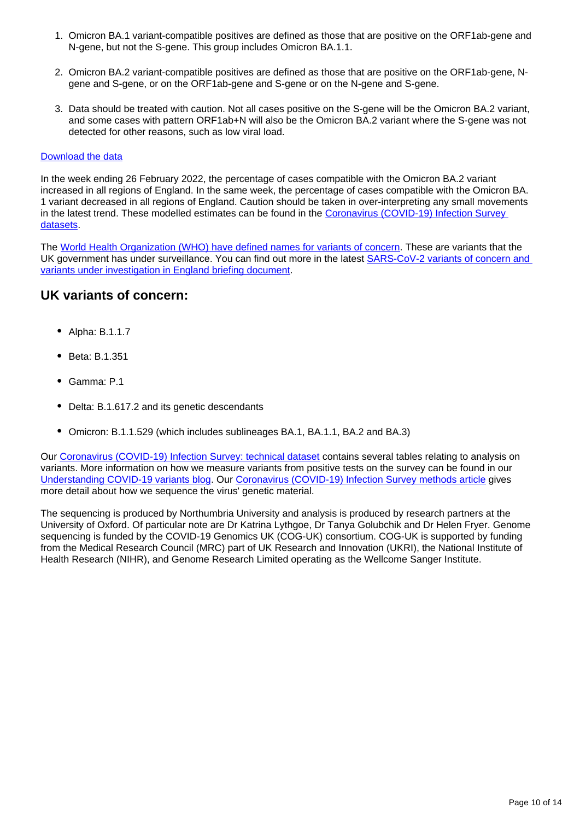- 1. Omicron BA.1 variant-compatible positives are defined as those that are positive on the ORF1ab-gene and N-gene, but not the S-gene. This group includes Omicron BA.1.1.
- 2. Omicron BA.2 variant-compatible positives are defined as those that are positive on the ORF1ab-gene, Ngene and S-gene, or on the ORF1ab-gene and S-gene or on the N-gene and S-gene.
- 3. Data should be treated with caution. Not all cases positive on the S-gene will be the Omicron BA.2 variant, and some cases with pattern ORF1ab+N will also be the Omicron BA.2 variant where the S-gene was not detected for other reasons, such as low viral load.

#### [Download the data](https://www.ons.gov.uk/visualisations/dvc1849/variantsuk/datadownload.xlsx)

In the week ending 26 February 2022, the percentage of cases compatible with the Omicron BA.2 variant increased in all regions of England. In the same week, the percentage of cases compatible with the Omicron BA. 1 variant decreased in all regions of England. Caution should be taken in over-interpreting any small movements in the latest trend. These modelled estimates can be found in the [Coronavirus \(COVID-19\) Infection Survey](https://www.ons.gov.uk/peoplepopulationandcommunity/healthandsocialcare/conditionsanddiseases/bulletins/coronaviruscovid19infectionsurveypilot/4march2022/relateddata)  [datasets.](https://www.ons.gov.uk/peoplepopulationandcommunity/healthandsocialcare/conditionsanddiseases/bulletins/coronaviruscovid19infectionsurveypilot/4march2022/relateddata)

The [World Health Organization \(WHO\) have defined names for variants of concern.](https://www.who.int/en/activities/tracking-SARS-CoV-2-variants/) These are variants that the UK government has under surveillance. You can find out more in the latest [SARS-CoV-2 variants of concern and](https://www.gov.uk/government/publications/investigation-of-sars-cov-2-variants-technical-briefings)  [variants under investigation in England briefing document.](https://www.gov.uk/government/publications/investigation-of-sars-cov-2-variants-technical-briefings)

## **UK variants of concern:**

- Alpha: B.1.1.7
- Beta: B.1.351
- Gamma: P.1
- Delta: B.1.617.2 and its genetic descendants
- Omicron: B.1.1.529 (which includes sublineages BA.1, BA.1.1, BA.2 and BA.3)

Our [Coronavirus \(COVID-19\) Infection Survey: technical dataset](https://www.ons.gov.uk/peoplepopulationandcommunity/healthandsocialcare/conditionsanddiseases/datasets/covid19infectionsurveytechnicaldata) contains several tables relating to analysis on variants. More information on how we measure variants from positive tests on the survey can be found in our [Understanding COVID-19 variants blog.](https://blog.ons.gov.uk/2021/05/28/understanding-covid-19-variants-what-can-the-coronavirus-infection-survey-tell-us) Our [Coronavirus \(COVID-19\) Infection Survey methods article](https://www.ons.gov.uk/peoplepopulationandcommunity/healthandsocialcare/conditionsanddiseases/methodologies/covid19infectionsurveypilotmethodsandfurtherinformation) gives more detail about how we sequence the virus' genetic material.

The sequencing is produced by Northumbria University and analysis is produced by research partners at the University of Oxford. Of particular note are Dr Katrina Lythgoe, Dr Tanya Golubchik and Dr Helen Fryer. Genome sequencing is funded by the COVID-19 Genomics UK (COG-UK) consortium. COG-UK is supported by funding from the Medical Research Council (MRC) part of UK Research and Innovation (UKRI), the National Institute of Health Research (NIHR), and Genome Research Limited operating as the Wellcome Sanger Institute.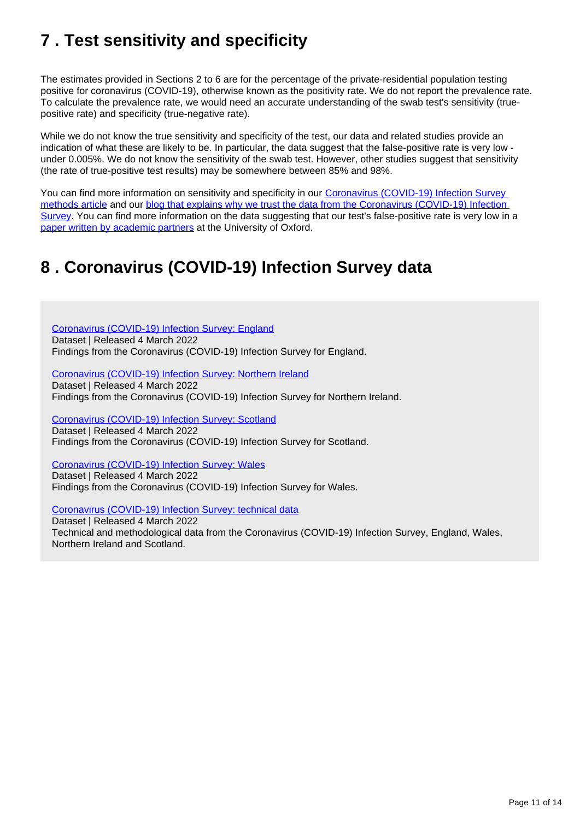# <span id="page-10-0"></span>**7 . Test sensitivity and specificity**

The estimates provided in Sections 2 to 6 are for the percentage of the private-residential population testing positive for coronavirus (COVID-19), otherwise known as the positivity rate. We do not report the prevalence rate. To calculate the prevalence rate, we would need an accurate understanding of the swab test's sensitivity (truepositive rate) and specificity (true-negative rate).

While we do not know the true sensitivity and specificity of the test, our data and related studies provide an indication of what these are likely to be. In particular, the data suggest that the false-positive rate is very low under 0.005%. We do not know the sensitivity of the swab test. However, other studies suggest that sensitivity (the rate of true-positive test results) may be somewhere between 85% and 98%.

You can find more information on sensitivity and specificity in our Coronavirus (COVID-19) Infection Survey [methods article](https://www.ons.gov.uk/peoplepopulationandcommunity/healthandsocialcare/conditionsanddiseases/methodologies/covid19infectionsurveypilotmethodsandfurtherinformation#test-sensitivity-and-specificity) and our [blog that explains why we trust the data from the Coronavirus \(COVID-19\) Infection](https://blog.ons.gov.uk/2021/04/09/accuracy-and-confidence-why-we-trust-the-data-from-the-covid-19-infection-survey/)  [Survey](https://blog.ons.gov.uk/2021/04/09/accuracy-and-confidence-why-we-trust-the-data-from-the-covid-19-infection-survey/). You can find more information on the data suggesting that our test's false-positive rate is very low in a [paper written by academic partners](https://www.medrxiv.org/content/10.1101/2020.10.25.20219048v2) at the University of Oxford.

# <span id="page-10-1"></span>**8 . Coronavirus (COVID-19) Infection Survey data**

[Coronavirus \(COVID-19\) Infection Survey: England](https://www.ons.gov.uk/peoplepopulationandcommunity/healthandsocialcare/conditionsanddiseases/datasets/coronaviruscovid19infectionsurveydata) Dataset | Released 4 March 2022 Findings from the Coronavirus (COVID-19) Infection Survey for England.

[Coronavirus \(COVID-19\) Infection Survey: Northern Ireland](https://www.ons.gov.uk/peoplepopulationandcommunity/healthandsocialcare/conditionsanddiseases/datasets/covid19infectionsurveynorthernireland) Dataset | Released 4 March 2022 Findings from the Coronavirus (COVID-19) Infection Survey for Northern Ireland.

[Coronavirus \(COVID-19\) Infection Survey: Scotland](https://www.ons.gov.uk/peoplepopulationandcommunity/healthandsocialcare/conditionsanddiseases/datasets/covid19infectionsurveyscotland) Dataset | Released 4 March 2022 Findings from the Coronavirus (COVID-19) Infection Survey for Scotland.

[Coronavirus \(COVID-19\) Infection Survey: Wales](https://www.ons.gov.uk/peoplepopulationandcommunity/healthandsocialcare/conditionsanddiseases/datasets/covid19infectionsurveywales) Dataset | Released 4 March 2022 Findings from the Coronavirus (COVID-19) Infection Survey for Wales.

[Coronavirus \(COVID-19\) Infection Survey: technical data](https://www.ons.gov.uk/peoplepopulationandcommunity/healthandsocialcare/conditionsanddiseases/datasets/covid19infectionsurveytechnicaldata)

Dataset | Released 4 March 2022 Technical and methodological data from the Coronavirus (COVID-19) Infection Survey, England, Wales, Northern Ireland and Scotland.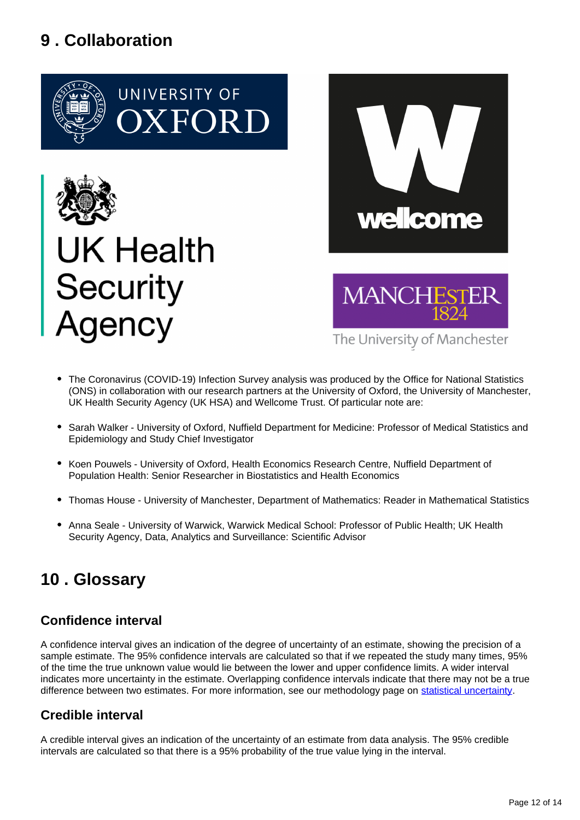# <span id="page-11-0"></span>**9 . Collaboration**





# UK Health **Security** gency



The University of Manchester

- The Coronavirus (COVID-19) Infection Survey analysis was produced by the Office for National Statistics (ONS) in collaboration with our research partners at the University of Oxford, the University of Manchester, UK Health Security Agency (UK HSA) and Wellcome Trust. Of particular note are:
- Sarah Walker University of Oxford, Nuffield Department for Medicine: Professor of Medical Statistics and Epidemiology and Study Chief Investigator
- Koen Pouwels University of Oxford, Health Economics Research Centre, Nuffield Department of Population Health: Senior Researcher in Biostatistics and Health Economics
- Thomas House University of Manchester, Department of Mathematics: Reader in Mathematical Statistics
- Anna Seale University of Warwick, Warwick Medical School: Professor of Public Health; UK Health Security Agency, Data, Analytics and Surveillance: Scientific Advisor

# <span id="page-11-1"></span>**10 . Glossary**

## **Confidence interval**

A confidence interval gives an indication of the degree of uncertainty of an estimate, showing the precision of a sample estimate. The 95% confidence intervals are calculated so that if we repeated the study many times, 95% of the time the true unknown value would lie between the lower and upper confidence limits. A wider interval indicates more uncertainty in the estimate. Overlapping confidence intervals indicate that there may not be a true difference between two estimates. For more information, see our methodology page on [statistical uncertainty](https://www.ons.gov.uk/methodology/methodologytopicsandstatisticalconcepts/uncertaintyandhowwemeasureit).

## **Credible interval**

A credible interval gives an indication of the uncertainty of an estimate from data analysis. The 95% credible intervals are calculated so that there is a 95% probability of the true value lying in the interval.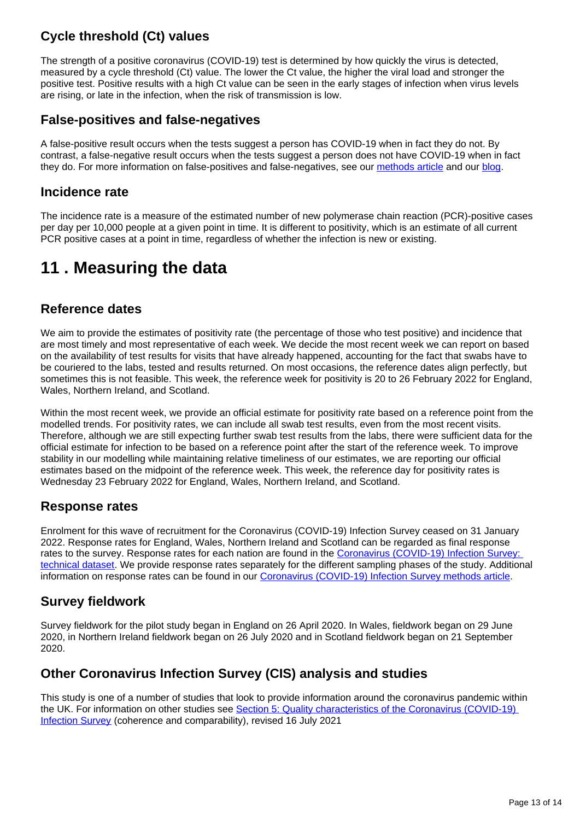## **Cycle threshold (Ct) values**

The strength of a positive coronavirus (COVID-19) test is determined by how quickly the virus is detected, measured by a cycle threshold (Ct) value. The lower the Ct value, the higher the viral load and stronger the positive test. Positive results with a high Ct value can be seen in the early stages of infection when virus levels are rising, or late in the infection, when the risk of transmission is low.

## **False-positives and false-negatives**

A false-positive result occurs when the tests suggest a person has COVID-19 when in fact they do not. By contrast, a false-negative result occurs when the tests suggest a person does not have COVID-19 when in fact they do. For more information on false-positives and false-negatives, see our [methods article](https://www.ons.gov.uk/peoplepopulationandcommunity/healthandsocialcare/conditionsanddiseases/methodologies/covid19infectionsurveypilotmethodsandfurtherinformation#test-sensitivity-and-specificity) and our [blog](https://blog.ons.gov.uk/2021/04/09/accuracy-and-confidence-why-we-trust-the-data-from-the-covid-19-infection-survey/).

## **Incidence rate**

The incidence rate is a measure of the estimated number of new polymerase chain reaction (PCR)-positive cases per day per 10,000 people at a given point in time. It is different to positivity, which is an estimate of all current PCR positive cases at a point in time, regardless of whether the infection is new or existing.

# <span id="page-12-0"></span>**11 . Measuring the data**

## **Reference dates**

We aim to provide the estimates of positivity rate (the percentage of those who test positive) and incidence that are most timely and most representative of each week. We decide the most recent week we can report on based on the availability of test results for visits that have already happened, accounting for the fact that swabs have to be couriered to the labs, tested and results returned. On most occasions, the reference dates align perfectly, but sometimes this is not feasible. This week, the reference week for positivity is 20 to 26 February 2022 for England, Wales, Northern Ireland, and Scotland.

Within the most recent week, we provide an official estimate for positivity rate based on a reference point from the modelled trends. For positivity rates, we can include all swab test results, even from the most recent visits. Therefore, although we are still expecting further swab test results from the labs, there were sufficient data for the official estimate for infection to be based on a reference point after the start of the reference week. To improve stability in our modelling while maintaining relative timeliness of our estimates, we are reporting our official estimates based on the midpoint of the reference week. This week, the reference day for positivity rates is Wednesday 23 February 2022 for England, Wales, Northern Ireland, and Scotland.

## **Response rates**

Enrolment for this wave of recruitment for the Coronavirus (COVID-19) Infection Survey ceased on 31 January 2022. Response rates for England, Wales, Northern Ireland and Scotland can be regarded as final response rates to the survey. Response rates for each nation are found in the [Coronavirus \(COVID-19\) Infection Survey:](https://www.ons.gov.uk/peoplepopulationandcommunity/healthandsocialcare/conditionsanddiseases/datasets/covid19infectionsurveytechnicaldata)  [technical dataset.](https://www.ons.gov.uk/peoplepopulationandcommunity/healthandsocialcare/conditionsanddiseases/datasets/covid19infectionsurveytechnicaldata) We provide response rates separately for the different sampling phases of the study. Additional information on response rates can be found in our [Coronavirus \(COVID-19\) Infection Survey methods article.](https://www.ons.gov.uk/peoplepopulationandcommunity/healthandsocialcare/conditionsanddiseases/methodologies/covid19infectionsurveypilotmethodsandfurtherinformation#study-design-sampling)

## **Survey fieldwork**

Survey fieldwork for the pilot study began in England on 26 April 2020. In Wales, fieldwork began on 29 June 2020, in Northern Ireland fieldwork began on 26 July 2020 and in Scotland fieldwork began on 21 September 2020.

## **Other Coronavirus Infection Survey (CIS) analysis and studies**

This study is one of a number of studies that look to provide information around the coronavirus pandemic within the UK. For information on other studies see [Section 5: Quality characteristics of the Coronavirus \(COVID-19\)](https://www.ons.gov.uk/peoplepopulationandcommunity/healthandsocialcare/conditionsanddiseases/methodologies/coronaviruscovid19infectionsurveyqmi#quality-characteristics-of-the-coronavirus-covid-19-infection-survey)  [Infection Survey](https://www.ons.gov.uk/peoplepopulationandcommunity/healthandsocialcare/conditionsanddiseases/methodologies/coronaviruscovid19infectionsurveyqmi#quality-characteristics-of-the-coronavirus-covid-19-infection-survey) (coherence and comparability), revised 16 July 2021